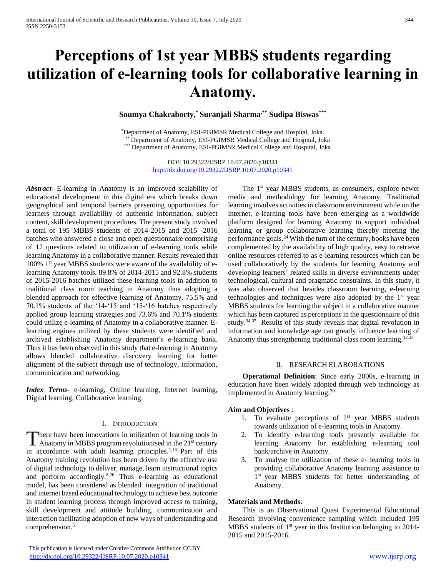# **Perceptions of 1st year MBBS students regarding utilization of e-learning tools for collaborative learning in Anatomy.**

**Soumya Chakraborty,\* Suranjali Sharma,\*\* Sudipa Biswas\*\*\***

\*Department of Anatomy, ESI-PGIMSR Medical College and Hospital, Joka. \*\* Department of Anatomy, ESI-PGIMSR Medical College and Hospital, Joka \*\*\* Department of Anatomy, ESI-PGIMSR Medical College and Hospital, Joka

> DOI: 10.29322/IJSRP.10.07.2020.p10341 <http://dx.doi.org/10.29322/IJSRP.10.07.2020.p10341>

*Abstract***-** E-learning in Anatomy is an improved scalability of educational development in this digital era which breaks down geographical and temporal barriers presenting opportunities for learners through availability of authentic information, subject content, skill development procedures. The present study involved a total of 195 MBBS students of 2014-2015 and 2015 -2016 batches who answered a close and open questionnaire comprising of 12 questions related to utilization of e-learning tools while learning Anatomy in a collaborative manner. Results revealed that  $100\%$  1<sup>st</sup> year MBBS students were aware of the availability of elearning Anatomy tools. 89.8% of 2014-2015 and 92.8% students of 2015-2016 batches utilized these learning tools in addition to traditional class room teaching in Anatomy thus adopting a blended approach for effective learning of Anatomy. 75.5% and 70.1% students of the '14-'15 and '15-'16 batches respectively applied group learning strategies and 73.6% and 70.1% students could utilize e-learning of Anatomy in a collaborative manner. Elearning engines utilized by these students were identified and archived establishing Anatomy department's e-learning bank. Thus it has been observed in this study that e-learning in Anatomy allows blended collaborative discovery learning for better alignment of the subject through use of technology, information, communication and networking.

*Index Terms*- e-learning, Online learning, Internet learning, Digital learning, Collaborative learning.

#### I. INTRODUCTION

here have been innovations in utilization of learning tools in There have been innovations in utilization of learning tools in<br>Anatomy in MBBS program revolutionised in the 21<sup>st</sup> century in accordance with adult learning principles.<sup>1,13</sup> Part of this Anatomy training revolution has been driven by the effective use of digital technology to deliver, manage, learn instructional topics and perform accordingly.8,26 Thus e-learning as educational model, has been considered as blended integration of traditional and internet based educational technology to achieve best outcome in student learning process through improved access to training, skill development and attitude building, communication and interaction facilitating adoption of new ways of understanding and comprehension.<sup>5</sup>

 This publication is licensed under Creative Commons Attribution CC BY. <http://dx.doi.org/10.29322/IJSRP.10.07.2020.p10341> [www.ijsrp.org](http://ijsrp.org/)

The 1<sup>st</sup> year MBBS students, as consumers, explore newer media and methodology for learning Anatomy. Traditional learning involves activities in classroom environment while on the internet, e-learning tools have been emerging as a worldwide platform designed for learning Anatomy to support individual learning or group collaborative learning thereby meeting the performance goals.<sup>24</sup> With the turn of the century, books have been complemented by the availability of high quality, easy to retrieve online resources referred to as e-learning resources which can be used collaboratively by the students for learning Anatomy and developing learners' related skills in diverse environments under technological, cultural and pragmatic constraints. In this study, it was also observed that besides classroom learning, e-learning technologies and techniques were also adopted by the  $1<sup>st</sup>$  year MBBS students for learning the subject in a collaborative manner which has been captured as perceptions in the questionnaire of this study.<sup>34,35</sup> Results of this study reveals that digital revolution in information and knowledge age can greatly influence learning of Anatomy thus strengthening traditional class room learning.<sup>32,33</sup>

## II. RESEARCH ELABORATIONS

 **Operational Definition**: Since early 2000s, e-learning in education have been widely adopted through web technology as implemented in Anatomy learning.<sup>30</sup>

## **Aim and Objectives** :

- 1. To evaluate perceptions of  $1<sup>st</sup>$  year MBBS students towards utilization of e-learning tools in Anatomy.
- 2. To identify e-learning tools presently available for learning Anatomy for establishing e-learning tool bank/archive in Anatomy.
- 3. To analyse the utilization of these e- learning tools in providing collaborative Anatomy learning assistance to 1<sup>st</sup> year MBBS students for better understanding of Anatomy.

## **Materials and Methods**:

 This is an Observational Quasi Experimental Educational Research involving convenience sampling which included 195 MBBS students of 1<sup>st</sup> year in this Institution belonging to 2014-2015 and 2015-2016.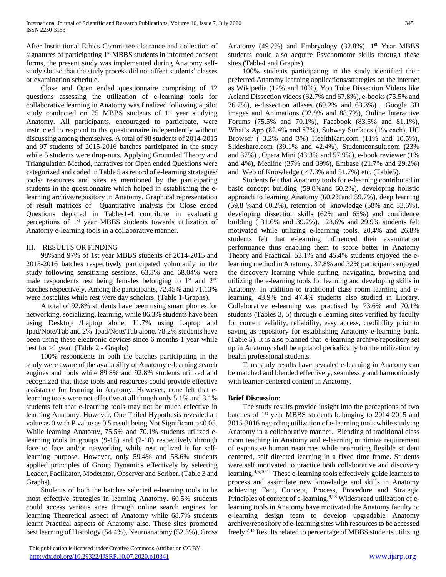After Institutional Ethics Committee clearance and collection of signatures of participating 1<sup>st</sup> MBBS students in informed consent forms, the present study was implemented during Anatomy selfstudy slot so that the study process did not affect students' classes or examination schedule.

 Close and Open ended questionnaire comprising of 12 questions assessing the utilization of e-learning tools for collaborative learning in Anatomy was finalized following a pilot study conducted on 25 MBBS students of  $1<sup>st</sup>$  year studying Anatomy. All participants, encouraged to participate, were instructed to respond to the questionnaire independently without discussing among themselves. A total of 98 students of 2014-2015 and 97 students of 2015-2016 batches participated in the study while 5 students were drop-outs. Applying Grounded Theory and Triangulation Method, narratives for Open ended Questions were categorized and coded in Table 5 as record of e-learning strategies/ tools/ resources and sites as mentioned by the participating students in the questionnaire which helped in establishing the elearning archive/repository in Anatomy. Graphical representation of result matrices of Quantitative analysis for Close ended Questions depicted in Tables1-4 contribute in evaluating perceptions of 1st year MBBS students towards utilization of Anatomy e-learning tools in a collaborative manner.

## III. RESULTS OR FINDING

 98%and 97% of 1st year MBBS students of 2014-2015 and 2015-2016 batches respectively participated voluntarily in the study following sensitizing sessions. 63.3% and 68.04% were male respondents rest being females belonging to  $1<sup>st</sup>$  and  $2<sup>nd</sup>$ batches respectively. Among the participants, 72.45% and 71.13% were hostelites while rest were day scholars. (Table 1-Graphs).

 A total of 92.8% students have been using smart phones for networking, socializing, learning, while 86.3% students have been using Desktop /Laptop alone, 11.7% using Laptop and Ipad/Note/Tab and 2% Ipad/Note/Tab alone. 78.2% students have been using these electronic devices since 6 months-1 year while rest for >1 year. (Table 2 - Graphs)

 100% respondents in both the batches participating in the study were aware of the availability of Anatomy e-learning search engines and tools while 89.8% and 92.8% students utilized and recognized that these tools and resources could provide effective assistance for learning in Anatomy. However, none felt that elearning tools were not effective at all though only 5.1% and 3.1% students felt that e-learning tools may not be much effective in learning Anatomy. However, One Tailed Hypothesis revealed a t value as 0 with P value as  $0.5$  result being Not Significant  $p<0.05$ . While learning Anatomy, 75.5% and 70.1% students utilized elearning tools in groups (9-15) and (2-10) respectively through face to face and/or networking while rest utilized it for selflearning purpose. However, only 59.4% and 58.6% students applied principles of Group Dynamics effectively by selecting Leader, Facilitator, Moderator, Observer and Scriber. (Table 3 and Graphs).

 Students of both the batches selected e-learning tools to be most effective strategies in learning Anatomy. 60.5% students could access various sites through online search engines for learning Theoretical aspect of Anatomy while 68.7% students learnt Practical aspects of Anatomy also. These sites promoted best learning of Histology (54.4%), Neuroanatomy (52.3%), Gross

 This publication is licensed under Creative Commons Attribution CC BY. <http://dx.doi.org/10.29322/IJSRP.10.07.2020.p10341> [www.ijsrp.org](http://ijsrp.org/)

Anatomy (49.2%) and Embryology (32.8%).  $1<sup>st</sup>$  Year MBBS students could also acquire Psychomotor skills through these sites.(Table4 and Graphs).

 100% students participating in the study identified their preferred Anatomy learning applications/strategies on the internet as Wikipedia (12% and 10%), You Tube Dissection Videos like Acland Dissection videos (62.7% and 67.8%), e-books (75.5% and 76.7%), e-dissection atlases (69.2% and 63.3%) , Google 3D images and Animations (92.9% and 88.7%), Online Interactive Forums (75.5% and 70.1%), Facebook (83.5% and 81.1%), What's App (82.4% and 87%), Subway Surfaces (1% each), UC Browser ( 3.2% and 3%) HealthKart.com (11% and 10.5%), Slideshare.com (39.1% and 42.4%), Studentconsult.com (23% and 37%) , Opera Mini (43.3% and 57.9%), e-book reviewer (1% and 4%), Medline (37% and 39%), Embase (21.7% and 29.2%) and Web of Knowledge ( 47.3% and 51.7%) etc. (Table5).

 Students felt that Anatomy tools for e-learning contributed in basic concept building (59.8%and 60.2%), developing holistic approach to learning Anatomy (60.2%and 59.7%), deep learning (59.8 %and 60.2%), retention of knowledge (58% and 53.6%), developing dissection skills (62% and 65%) and confidence building ( 31.6% and 39.2%). 28.6% and 29.9% students felt motivated while utilizing e-learning tools. 20.4% and 26.8% students felt that e-learning influenced their examination performance thus enabling them to score better in Anatomy Theory and Practical. 53.1% and 45.4% students enjoyed the elearning method in Anatomy. 37.8% and 32% participants enjoyed the discovery learning while surfing, navigating, browsing and utilizing the e-learning tools for learning and developing skills in Anatomy. In addition to traditional class room learning and elearning, 43.9% and 47.4% students also studied in Library. Collaborative e-learning was practised by 73.6% and 70.1% students (Tables 3, 5) through e learning sites verified by faculty for content validity, reliability, easy access, credibility prior to saving as repository for establishing Anatomy e-learning bank. (Table 5). It is also planned that e-learning archive/repository set up in Anatomy shall be updated periodically for the utilization by health professional students.

 Thus study results have revealed e-learning in Anatomy can be matched and blended effectively, seamlessly and harmoniously with learner-centered content in Anatomy.

## **Brief Discussion**:

 The study results provide insight into the perceptions of two batches of 1st year MBBS students belonging to 2014-2015 and 2015-2016 regarding utilization of e-learning tools while studying Anatomy in a collaborative manner. Blending of traditional class room teaching in Anatomy and e-learning minimize requirement of expensive human resources while promoting flexible student centered, self directed learning in a fixed time frame. Students were self motivated to practice both collaborative and discovery learning.4,6,10,12 These e-learning tools effectively guide learners to process and assimilate new knowledge and skills in Anatomy achieving Fact, Concept, Process, Procedure and Strategic Principles of content of e-learning.<sup>9,28</sup> Widespread utilization of elearning tools in Anatomy have motivated the Anatomy faculty or e-learning design team to develop upgradable Anatomy archive/repository of e-learning sites with resources to be accessed freely.2,16 Results related to percentage of MBBS students utilizing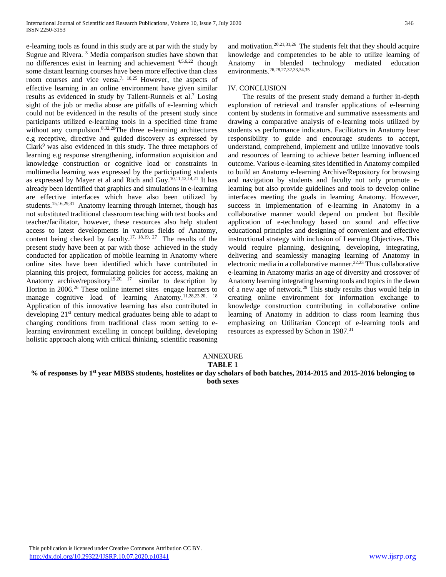e-learning tools as found in this study are at par with the study by Sugrue and Rivera. <sup>3</sup> Media comparison studies have shown that no differences exist in learning and achievement 4,5,6,22 though some distant learning courses have been more effective than class room courses and vice versa.<sup>7, 18,25</sup> However, the aspects of effective learning in an online environment have given similar results as evidenced in study by Tallent-Runnels et al.<sup>7</sup> Losing sight of the job or media abuse are pitfalls of e-learning which could not be evidenced in the results of the present study since participants utilized e-learning tools in a specified time frame without any compulsion.<sup>8,32,28</sup>The three e-learning architectures e.g receptive, directive and guided discovery as expressed by  $Clark<sup>9</sup>$  was also evidenced in this study. The three metaphors of learning e.g response strengthening, information acquisition and knowledge construction or cognitive load or constraints in multimedia learning was expressed by the participating students as expressed by Mayer et al and Rich and Guy.<sup>10,11,12,14,21</sup> It has already been identified that graphics and simulations in e-learning are effective interfaces which have also been utilized by students.<sup>15,16,29,31</sup> Anatomy learning through Internet, though has not substituted traditional classroom teaching with text books and teacher/facilitator, however, these resources also help student access to latest developments in various fields of Anatomy, content being checked by faculty.17, 18,19, 27 The results of the present study have been at par with those achieved in the study conducted for application of mobile learning in Anatomy where online sites have been identified which have contributed in planning this project, formulating policies for access, making an Anatomy archive/repository<sup>19,20, 17</sup> similar to description by Horton in 2006.<sup>26</sup> These online internet sites engage learners to manage cognitive load of learning Anatomy.11,28,23,20, 18 Application of this innovative learning has also contributed in developing 21st century medical graduates being able to adapt to changing conditions from traditional class room setting to elearning environment excelling in concept building, developing holistic approach along with critical thinking, scientific reasoning

and motivation.20,21,31,26 The students felt that they should acquire knowledge and competencies to be able to utilize learning of Anatomy in blended technology mediated education environments.26,28,27,32,33,34,35

## IV. CONCLUSION

 The results of the present study demand a further in-depth exploration of retrieval and transfer applications of e-learning content by students in formative and summative assessments and drawing a comparative analysis of e-learning tools utilized by students vs performance indicators. Facilitators in Anatomy bear responsibility to guide and encourage students to accept, understand, comprehend, implement and utilize innovative tools and resources of learning to achieve better learning influenced outcome. Various e-learning sites identified in Anatomy compiled to build an Anatomy e-learning Archive/Repository for browsing and navigation by students and faculty not only promote elearning but also provide guidelines and tools to develop online interfaces meeting the goals in learning Anatomy. However, success in implementation of e-learning in Anatomy in a collaborative manner would depend on prudent but flexible application of e-technology based on sound and effective educational principles and designing of convenient and effective instructional strategy with inclusion of Learning Objectives. This would require planning, designing, developing, integrating, delivering and seamlessly managing learning of Anatomy in electronic media in a collaborative manner.22,23 Thus collaborative e-learning in Anatomy marks an age of diversity and crossover of Anatomy learning integrating learning tools and topics in the dawn of a new age of network.<sup>29</sup> This study results thus would help in creating online environment for information exchange to knowledge construction contributing in collaborative online learning of Anatomy in addition to class room learning thus emphasizing on Utilitarian Concept of e-learning tools and resources as expressed by Schon in 1987.<sup>31</sup>

# ANNEXURE

#### **TABLE 1**

**% of responses by 1st year MBBS students, hostelites or day scholars of both batches, 2014-2015 and 2015-2016 belonging to both sexes**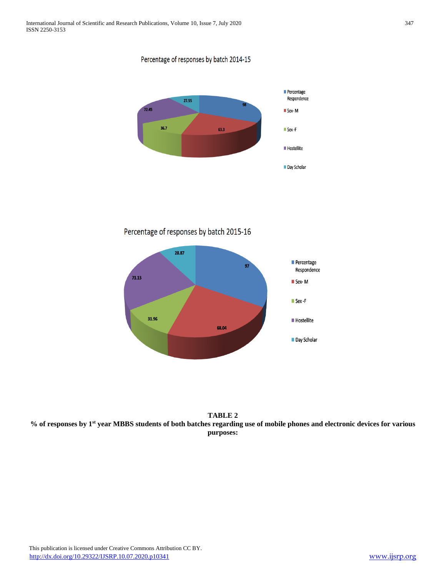Percentage of responses by batch 2014-15



Percentage of responses by batch 2015-16



**TABLE 2 % of responses by 1st year MBBS students of both batches regarding use of mobile phones and electronic devices for various purposes:**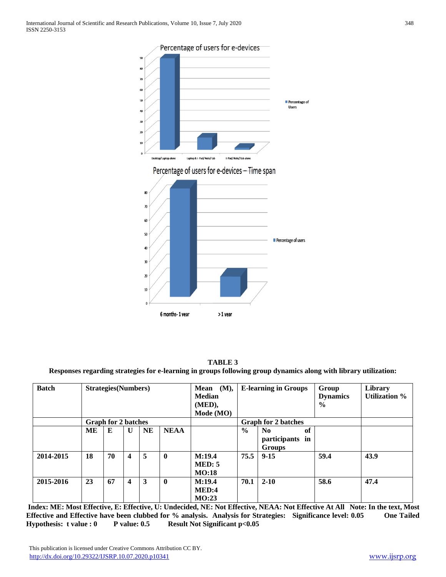

**TABLE 3 Responses regarding strategies for e-learning in groups following group dynamics along with library utilization:**

| <b>Batch</b> | <b>Strategies</b> (Numbers) |                            |              |           |              | Mean<br>(M),<br><b>Median</b> |                            | <b>E-learning in Groups</b>                       | Group<br><b>Dynamics</b> | Library<br><b>Utilization %</b> |
|--------------|-----------------------------|----------------------------|--------------|-----------|--------------|-------------------------------|----------------------------|---------------------------------------------------|--------------------------|---------------------------------|
|              |                             |                            |              |           |              | (MED),                        |                            |                                                   | $\frac{6}{9}$            |                                 |
|              |                             |                            |              |           |              | Mode (MO)                     |                            |                                                   |                          |                                 |
|              |                             | <b>Graph for 2 batches</b> |              |           |              |                               | <b>Graph for 2 batches</b> |                                                   |                          |                                 |
|              | ME                          | E                          | $\mathbf{U}$ | <b>NE</b> | <b>NEAA</b>  |                               | $\frac{0}{0}$              | N <sub>0</sub><br>of<br>participants in<br>Groups |                          |                                 |
| 2014-2015    | 18                          | 70                         | 4            | 5         | $\mathbf{0}$ | M:19.4<br>MED: 5<br>MO:18     | 75.5                       | $9 - 15$                                          | 59.4                     | 43.9                            |
| 2015-2016    | 23                          | 67                         | 4            | 3         | $\mathbf{0}$ | M:19.4<br>MED:4<br>MO:23      | 70.1                       | $2 - 10$                                          | 58.6                     | 47.4                            |

**Index: ME: Most Effective, E: Effective, U: Undecided, NE: Not Effective, NEAA: Not Effective At All Note: In the text, Most Effective and Effective have been clubbed for % analysis. Analysis for Strategies: Significance level: 0.05 One Tailed**  Hypothesis: t value : 0 P value: 0.5 Result Not Significant p<0.05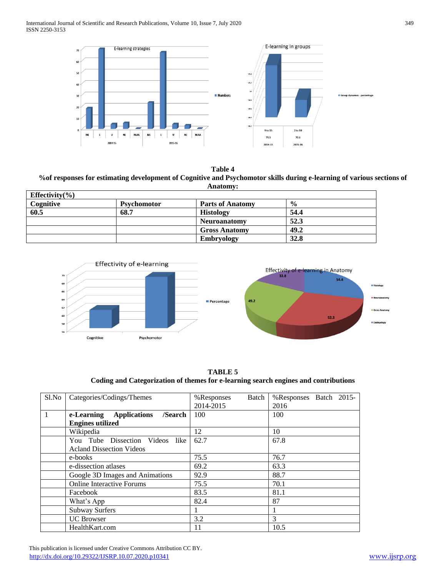

**Table 4 %of responses for estimating development of Cognitive and Psychomotor skills during e-learning of various sections of Anatomy:**

| Effectivity( $\%$ ) |                    |                         |               |  |  |
|---------------------|--------------------|-------------------------|---------------|--|--|
| Cognitive           | <b>Psychomotor</b> | <b>Parts of Anatomy</b> | $\frac{0}{0}$ |  |  |
| 60.5                | 68.7               | <b>Histology</b>        | 54.4          |  |  |
|                     |                    | <b>Neuroanatomy</b>     | 52.3          |  |  |
|                     |                    | <b>Gross Anatomy</b>    | 49.2          |  |  |
|                     |                    | <b>Embryology</b>       | 32.8          |  |  |



**TABLE 5 Coding and Categorization of themes for e-learning search engines and contributions**

| $S1$ . No    | Categories/Codings/Themes          | Batch<br>%Responses | %Responses Batch 2015- |
|--------------|------------------------------------|---------------------|------------------------|
|              |                                    | 2014-2015           | 2016                   |
| $\mathbf{1}$ | e-Learning Applications<br>/Search | 100                 | 100                    |
|              | <b>Engines utilized</b>            |                     |                        |
|              | Wikipedia                          | 12                  | 10                     |
|              | You Tube Dissection Videos like    | 62.7                | 67.8                   |
|              | <b>Acland Dissection Videos</b>    |                     |                        |
|              | e-books                            | 75.5                | 76.7                   |
|              | e-dissection atlases               | 69.2                | 63.3                   |
|              | Google 3D Images and Animations    | 92.9                | 88.7                   |
|              | <b>Online Interactive Forums</b>   | 75.5                | 70.1                   |
|              | Facebook                           | 83.5                | 81.1                   |
|              | What's App                         | 82.4                | 87                     |
|              | <b>Subway Surfers</b>              |                     |                        |
|              | <b>UC</b> Browser                  | 3.2                 | 3                      |
|              | HealthKart.com                     | 11                  | 10.5                   |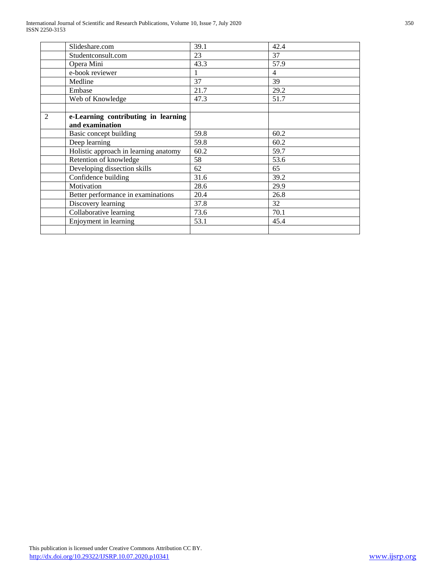|                | Slideshare.com                        | 39.1 | 42.4           |
|----------------|---------------------------------------|------|----------------|
|                | Studentconsult.com                    | 23   | 37             |
|                | Opera Mini                            | 43.3 | 57.9           |
|                | e-book reviewer                       | 1    | $\overline{4}$ |
|                | Medline                               | 37   | 39             |
|                | Embase                                | 21.7 | 29.2           |
|                | Web of Knowledge                      | 47.3 | 51.7           |
|                |                                       |      |                |
| $\mathfrak{D}$ | e-Learning contributing in learning   |      |                |
|                | and examination                       |      |                |
|                | Basic concept building                | 59.8 | 60.2           |
|                | Deep learning                         | 59.8 | 60.2           |
|                | Holistic approach in learning anatomy | 60.2 | 59.7           |
|                | Retention of knowledge                | 58   | 53.6           |
|                | Developing dissection skills          | 62   | 65             |
|                | Confidence building                   | 31.6 | 39.2           |
|                | Motivation                            | 28.6 | 29.9           |
|                | Better performance in examinations    | 20.4 | 26.8           |
|                | Discovery learning                    | 37.8 | 32             |
|                | Collaborative learning                | 73.6 | 70.1           |
|                | Enjoyment in learning                 | 53.1 | 45.4           |
|                |                                       |      |                |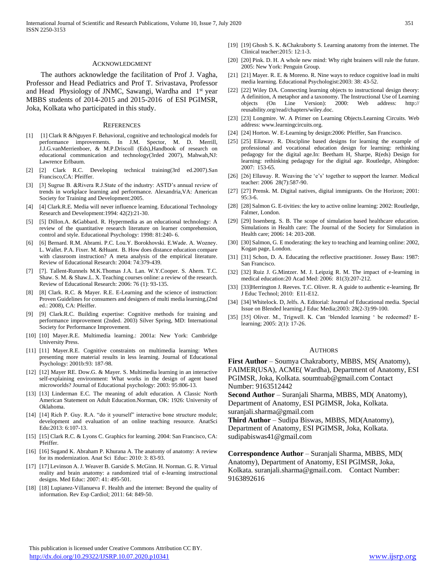#### ACKNOWLEDGMENT

 The authors acknowledge the facilitation of Prof J. Vagha, Professor and Head Pediatrics and Prof T. Srivastava, Professor and Head Physiology of JNMC, Sawangi, Wardha and 1<sup>st</sup> year MBBS students of 2014-2015 and 2015-2016 of ESI PGIMSR, Joka, Kolkata who participated in this study.

#### **REFERENCES**

- [1] [1] Clark R &Nguyen F. Behavioral, cognitive and technological models for performance improvements. In J.M. Spector, M. D. Merrill, J.J.G.vanMerrienboer, & M.P.Driscoll (Eds),Handbook of research on educational communication and technology(3rded 2007), Mahwah,NJ: Lawrence Erlbaum.
- [2] [2] Clark R.C. Developing technical training(3rd ed.2007).San Francisco,CA: Pfeiffer.
- [3] [3] Sugrue B. &Rivera R.J.State of the industry: ASTD's annual review of trends in workplace learning and performance. Alexandria,VA: American Society for Training and Development:2005.
- [4] [4] Clark.R.E. Media will never influence learning. Educational Technology Research and Development:1994: 42(2):21-30.
- [5] [5] Dillon.A. &Gabbard. R. Hypermedia as an educational technology: A review of the quantitative research literature on learner comprehension, control and style. Educational Psychology: 1998: 81:240- 6.
- [6] [6] Bernard. R.M. Abrami. P.C. Lou.Y. Borokhovski. E.Wade. A. Wozney. L. Wallet. P.A. Fixer. M. &Huant. B. How does distance education compare with classroom instruction? A meta analysis of the empirical literature. Review of Educational Research: 2004: 74:379-439.
- [7] [7]. Tallent-Runnels M.K.Thomas J.A. Lan. W.Y.Cooper. S. Ahern. T.C. Shaw. S. M. & Shaw.L. X. Teaching courses online: a review of the research. Review of Educational Research: 2006: 76 (1): 93-135.
- [8] [8] Clark. R.C. & Mayer. R.E. E-Learning and the science of instruction: Proven Guidelines for consumers and designers of multi media learning,(2nd ed.: 2008), CA: Pfeiffer.
- [9] [9] Clark.R.C. Building expertise: Cognitive methods for training and performance improvement (2nded. 2003) Silver Spring, MD: International Society for Performance Improvement.
- [10] [10] Mayer.R.E. Multimedia learning.: 2001a: New York: Cambridge University Press.
- [11] [11] Mayer.R.E. Cognitive constraints on multimedia learning: When presenting more material results in less learning. Journal of Educational Psychology: 2001b:93: 187-98.
- [12] [12] Mayer RE. Dow.G. & Mayer. S. Multimedia learning in an interactive self-explaining environment: What works in the design of agent based microworlds? Journal of Educational psychology: 2003: 95:806-13.
- [13] [13] Linderman E.C. The meaning of adult education. A Classic North American Statement on Adult Education.Norman, OK: 1926: University of Oklahoma.
- [14] [14] Rich P. Guy. R.A. "do it yourself" interactive bone structure module; development and evaluation of an online teaching resource. AnatSci Edu:2013: 6:107-13.
- [15] [15] Clark R.C. & Lyons C. Graphics for learning. 2004: San Francisco, CA: Pfeiffer.
- [16] [16] Sugand K. Abraham P. Khurana A. The anatomy of anatomy: A review for its modernization. Anat Sci Educ: 2010: 3: 83-93.
- [17] [17] Levinson A. J. Weaver B. Garside S. McGinn. H. Norman. G. R. Virtual reality and brain anatomy: a randomized trial of e-learning instructional designs. Med Educ: 2007: 41: 495-501.
- [18] [18] Lupianez-Villanueva F. Health and the internet: Beyond the quality of information. Rev Esp Cardiol; 2011: 64: 849-50.
- [19] [19] Ghosh S. K. &Chakraborty S. Learning anatomy from the internet. The Clinical teacher:2015: 12:1-3.
- [20] [20] Pink. D. H. A whole new mind: Why right brainers will rule the future. 2005: New York: Penguin Group.
- [21] [21] Mayer. R. E. & Moreno. R. Nine ways to reduce cognitive load in multi media learning. Educational Psychologist:2003: 38: 43-52.
- [22] [22] Wiley DA. Connecting learning objects to instructional design theory: A definition, A metaphor and a taxonomy. The Instructional Use of Learning objects (On Line Version): 2000: Web address: http:// reusability.org/read/chapters/wiley.doc.
- [23] [23] Longmire. W. A Primer on Learning Objects.Learning Circuits. Web address: www.learningcircuits.org.
- [24] [24] Horton. W. E-Learning by design:2006: Pfeiffer, San Francisco.
- [25] [25] Ellaway. R. Discipline based designs for learning the example of professional and vocational education design for learning: rethinking pedagogy for the digital age.In: Beetham H, Sharpe, R(eds) Design for learning: rethinking pedagogy for the digital age. Routledge, Abingdon: 2007: 153-65.
- [26] [26] Ellaway. R. Weaving the 'e's' together to support the learner. Medical teacher: 2006 28(7):587-90.
- [27] [27] Prensk. M. Digital natives, digital immigrants. On the Horizon; 2001: 95:3-6.
- [28] [28] Salmon G. E-tivities: the key to active online learning: 2002: Routledge, Falmer, London.
- [29] [29] Issenberg. S. B. The scope of simulation based healthcare education. Simulations in Health care: The Journal of the Society for Simulation in Health care; 2006: 14: 203-208.
- [30] [30] Salmon, G. E moderating: the key to teaching and learning online: 2002, Kogan page, London.
- [31] [31] Schon, D. A. Educating the reflective practitioner. Jossey Bass: 1987: San Francisco.
- [32] [32] Ruiz J. G.Mintzer. M. J. Leipzig R. M. The impact of e-learning in medical education:20 Acad Med: 2006: 81(3):207-212.
- [33] [33] Herrington J. Reeves. T.C. Oliver. R. A guide to authentic e-learning. Br J Educ Technol; 2010: E11-E12.
- [34] [34] Whitelock. D, Jelfs. A. Editorial: Journal of Educational media. Special Issue on Blended learning.J Educ Media;2003: 28(2-3):99-100.
- [35] [35] Oliver. M., Trigwell. K. Can 'blended learning ' be redeemed? Elearning; 2005: 2(1): 17-26.

#### **AUTHORS**

**First Author** – Soumya Chakraborty, MBBS, MS( Anatomy), FAIMER(USA), ACME( Wardha), Department of Anatomy, ESI PGIMSR, Joka, Kolkata. soumtuab@gmail.com Contact Number: 9163512442

**Second Author** – Suranjali Sharma, MBBS, MD( Anatomy), Department of Anatomy, ESI PGIMSR, Joka, Kolkata. suranjali.sharma@gmail.com

**Third Author** – Sudipa Biswas, MBBS, MD(Anatomy), Department of Anatomy, ESI PGIMSR, Joka, Kolkata. sudipabiswas41@gmail.com

**Correspondence Author** – Suranjali Sharma, MBBS, MD( Anatomy), Department of Anatomy, ESI PGIMSR, Joka, Kolkata. suranjali.sharma@gmail.com. Contact Number: 9163892616